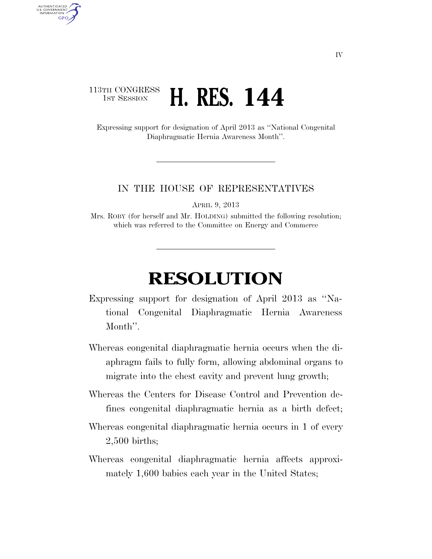## 113TH CONGRESS **1ST SESSION H. RES. 144**

AUTHENTICATED<br>U.S. GOVERNMENT<br>INFORMATION

**GPO** 

Expressing support for designation of April 2013 as ''National Congenital Diaphragmatic Hernia Awareness Month''.

## IN THE HOUSE OF REPRESENTATIVES

APRIL 9, 2013

Mrs. ROBY (for herself and Mr. HOLDING) submitted the following resolution; which was referred to the Committee on Energy and Commerce

## **RESOLUTION**

- Expressing support for designation of April 2013 as ''National Congenital Diaphragmatic Hernia Awareness Month''.
- Whereas congenital diaphragmatic hernia occurs when the diaphragm fails to fully form, allowing abdominal organs to migrate into the chest cavity and prevent lung growth;
- Whereas the Centers for Disease Control and Prevention defines congenital diaphragmatic hernia as a birth defect;
- Whereas congenital diaphragmatic hernia occurs in 1 of every 2,500 births;
- Whereas congenital diaphragmatic hernia affects approximately 1,600 babies each year in the United States;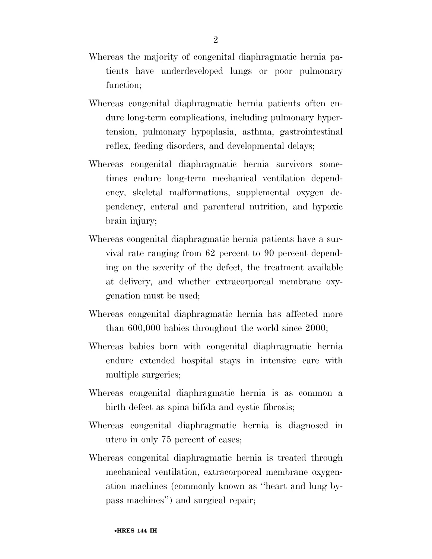- Whereas the majority of congenital diaphragmatic hernia patients have underdeveloped lungs or poor pulmonary function;
- Whereas congenital diaphragmatic hernia patients often endure long-term complications, including pulmonary hypertension, pulmonary hypoplasia, asthma, gastrointestinal reflex, feeding disorders, and developmental delays;
- Whereas congenital diaphragmatic hernia survivors sometimes endure long-term mechanical ventilation dependency, skeletal malformations, supplemental oxygen dependency, enteral and parenteral nutrition, and hypoxic brain injury;
- Whereas congenital diaphragmatic hernia patients have a survival rate ranging from 62 percent to 90 percent depending on the severity of the defect, the treatment available at delivery, and whether extracorporeal membrane oxygenation must be used;
- Whereas congenital diaphragmatic hernia has affected more than 600,000 babies throughout the world since 2000;
- Whereas babies born with congenital diaphragmatic hernia endure extended hospital stays in intensive care with multiple surgeries;
- Whereas congenital diaphragmatic hernia is as common a birth defect as spina bifida and cystic fibrosis;
- Whereas congenital diaphragmatic hernia is diagnosed in utero in only 75 percent of cases;
- Whereas congenital diaphragmatic hernia is treated through mechanical ventilation, extracorporeal membrane oxygenation machines (commonly known as ''heart and lung bypass machines'') and surgical repair;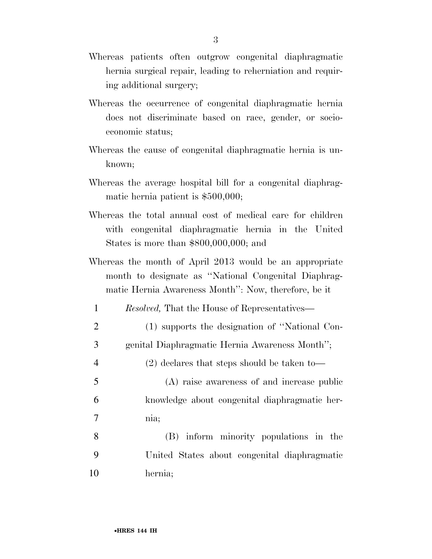- Whereas patients often outgrow congenital diaphragmatic hernia surgical repair, leading to reherniation and requiring additional surgery;
- Whereas the occurrence of congenital diaphragmatic hernia does not discriminate based on race, gender, or socioeconomic status;
- Whereas the cause of congenital diaphragmatic hernia is unknown;
- Whereas the average hospital bill for a congenital diaphragmatic hernia patient is \$500,000;
- Whereas the total annual cost of medical care for children with congenital diaphragmatic hernia in the United States is more than \$800,000,000; and
- Whereas the month of April 2013 would be an appropriate month to designate as ''National Congenital Diaphragmatic Hernia Awareness Month'': Now, therefore, be it
	- 1 *Resolved,* That the House of Representatives—
- 2 (1) supports the designation of ''National Con-3 genital Diaphragmatic Hernia Awareness Month'';
- 4 (2) declares that steps should be taken to—
- 5 (A) raise awareness of and increase public 6 knowledge about congenital diaphragmatic her-7 nia;
- 8 (B) inform minority populations in the 9 United States about congenital diaphragmatic 10 hernia;